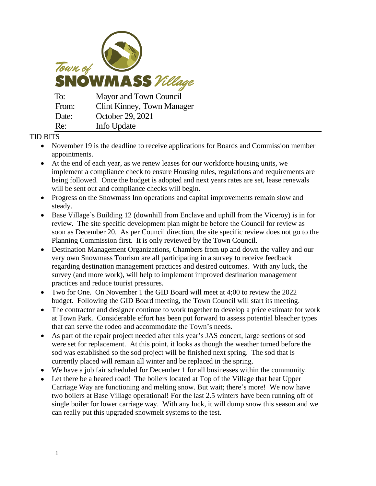

## TID BITS

- November 19 is the deadline to receive applications for Boards and Commission member appointments.
- At the end of each year, as we renew leases for our workforce housing units, we implement a compliance check to ensure Housing rules, regulations and requirements are being followed. Once the budget is adopted and next years rates are set, lease renewals will be sent out and compliance checks will begin.
- Progress on the Snowmass Inn operations and capital improvements remain slow and steady.
- Base Village's Building 12 (downhill from Enclave and uphill from the Viceroy) is in for review. The site specific development plan might be before the Council for review as soon as December 20. As per Council direction, the site specific review does not go to the Planning Commission first. It is only reviewed by the Town Council.
- Destination Management Organizations, Chambers from up and down the valley and our very own Snowmass Tourism are all participating in a survey to receive feedback regarding destination management practices and desired outcomes. With any luck, the survey (and more work), will help to implement improved destination management practices and reduce tourist pressures.
- Two for One. On November 1 the GID Board will meet at 4;00 to review the 2022 budget. Following the GID Board meeting, the Town Council will start its meeting.
- The contractor and designer continue to work together to develop a price estimate for work at Town Park. Considerable effort has been put forward to assess potential bleacher types that can serve the rodeo and accommodate the Town's needs.
- As part of the repair project needed after this year's JAS concert, large sections of sod were set for replacement. At this point, it looks as though the weather turned before the sod was established so the sod project will be finished next spring. The sod that is currently placed will remain all winter and be replaced in the spring.
- We have a job fair scheduled for December 1 for all businesses within the community.
- Let there be a heated road! The boilers located at Top of the Village that heat Upper Carriage Way are functioning and melting snow. But wait; there's more! We now have two boilers at Base Village operational! For the last 2.5 winters have been running off of single boiler for lower carriage way. With any luck, it will dump snow this season and we can really put this upgraded snowmelt systems to the test.